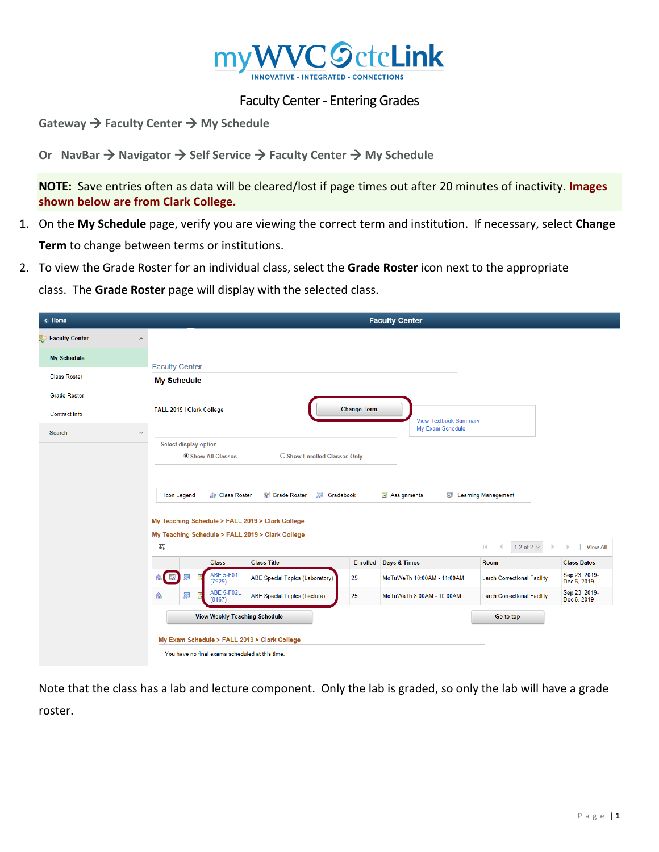

## Faculty Center - Entering Grades

**Gateway → Faculty Center → My Schedule** 

**Or NavBar → Navigator → Self Service → Faculty Center → My Schedule** 

**NOTE:** Save entries often as data will be cleared/lost if page times out after 20 minutes of inactivity. **Images shown below are from Clark College.** 

- 1. On the **My Schedule** page, verify you are viewing the correct term and institution. If necessary, select **Change Term** to change between terms or institutions.
- 2. To view the Grade Roster for an individual class, select the **Grade Roster** icon next to the appropriate

class. The **Grade Roster** page will display with the selected class.

| $\overline{\left(}$ Home                  |                                                         |                                        |                    | <b>Faculty Center</b>        |                                        |                                     |  |
|-------------------------------------------|---------------------------------------------------------|----------------------------------------|--------------------|------------------------------|----------------------------------------|-------------------------------------|--|
| Faculty Center<br>$\widehat{\phantom{a}}$ |                                                         |                                        |                    |                              |                                        |                                     |  |
| <b>My Schedule</b>                        |                                                         |                                        |                    |                              |                                        |                                     |  |
| <b>Class Roster</b>                       | <b>Faculty Center</b><br><b>My Schedule</b>             |                                        |                    |                              |                                        |                                     |  |
| <b>Grade Roster</b>                       |                                                         |                                        |                    |                              |                                        |                                     |  |
| <b>Contract Info</b>                      | FALL 2019   Clark College                               |                                        | <b>Change Term</b> | <b>View Textbook Summary</b> |                                        |                                     |  |
| Search<br>$\checkmark$                    |                                                         |                                        |                    | My Exam Schedule             |                                        |                                     |  |
|                                           | <b>Select display option</b><br><b>Show All Classes</b> | ○ Show Enrolled Classes Only           |                    |                              |                                        |                                     |  |
|                                           |                                                         |                                        |                    |                              |                                        |                                     |  |
|                                           |                                                         | Grade Roster<br>Gradebook              |                    |                              |                                        |                                     |  |
|                                           | <b>RR</b> Class Roster<br><b>Icon Legend</b>            |                                        |                    | Assignments                  | <b>E</b> Learning Management           |                                     |  |
|                                           | My Teaching Schedule > FALL 2019 > Clark College        |                                        |                    |                              |                                        |                                     |  |
|                                           | My Teaching Schedule > FALL 2019 > Clark College        |                                        |                    |                              |                                        |                                     |  |
|                                           | 馬                                                       |                                        |                    |                              | K<br>1-2 of 2 $\vee$<br>$\overline{a}$ | View All<br>$\mathbb{H}$            |  |
|                                           | <b>Class</b><br><b>ABE 5-F01L</b><br>国                  | <b>Class Title</b>                     | <b>Enrolled</b>    | <b>Days &amp; Times</b>      | Room                                   | <b>Class Dates</b><br>Sep 23, 2019- |  |
|                                           | 皛<br>(7929)                                             | <b>ABE Special Topics (Laboratory)</b> | 25                 | MoTuWeTh 10:00AM - 11:00AM   | <b>Larch Correctional Facility</b>     | Dec 6, 2019                         |  |
|                                           | <b>ABE 5-F02L</b><br>罗<br>в'n.<br>(8167)                | <b>ABE Special Topics (Lecture)</b>    | 25                 | MoTuWeTh 8:00AM - 10:00AM    | <b>Larch Correctional Facility</b>     | Sep 23, 2019-<br>Dec 6, 2019        |  |
|                                           | <b>View Weekly Teaching Schedule</b>                    |                                        |                    |                              | Go to top                              |                                     |  |
|                                           | My Exam Schedule > FALL 2019 > Clark College            |                                        |                    |                              |                                        |                                     |  |
|                                           | You have no final exams scheduled at this time.         |                                        |                    |                              |                                        |                                     |  |

Note that the class has a lab and lecture component. Only the lab is graded, so only the lab will have a grade roster.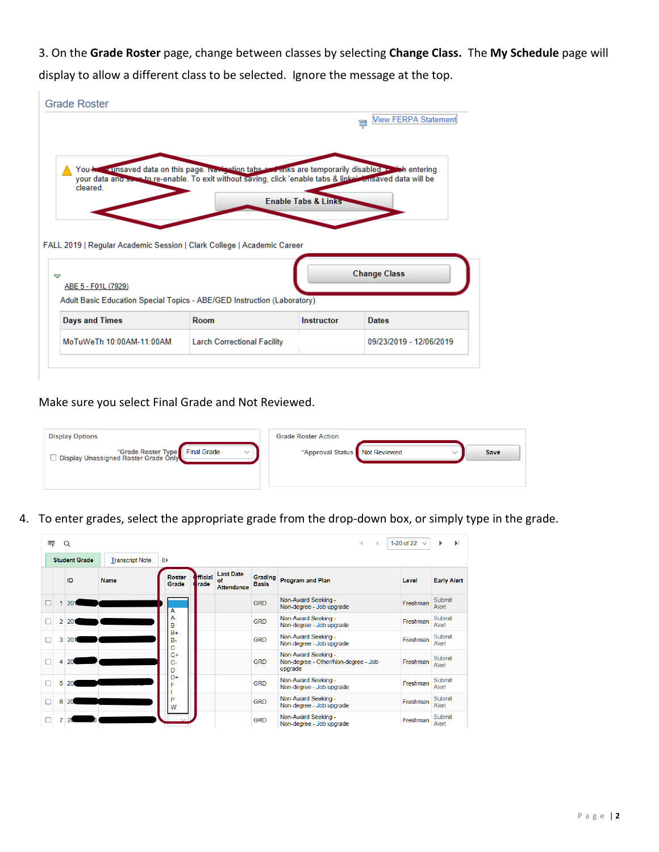3. On the **Grade Roster** page, change between classes by selecting **Change Class.** The **My Schedule** page will display to allow a different class to be selected. Ignore the message at the top.

|                                                                         |                                                                                                                                                                                                                          |                                | View FERPA Statement    |
|-------------------------------------------------------------------------|--------------------------------------------------------------------------------------------------------------------------------------------------------------------------------------------------------------------------|--------------------------------|-------------------------|
|                                                                         |                                                                                                                                                                                                                          |                                |                         |
| cleared.                                                                | You keep a tinsaved data on this page. Ivariant to take a seminks are temporarily disabled as the entering<br>your data and same to re-enable. To exit without saving, click 'enable tabs & linke' Consaved data will be | <b>Enable Tabs &amp; Links</b> |                         |
|                                                                         |                                                                                                                                                                                                                          |                                |                         |
|                                                                         |                                                                                                                                                                                                                          |                                |                         |
|                                                                         |                                                                                                                                                                                                                          |                                |                         |
| FALL 2019   Regular Academic Session   Clark College   Academic Career  |                                                                                                                                                                                                                          |                                |                         |
|                                                                         |                                                                                                                                                                                                                          |                                |                         |
| $\triangledown$                                                         |                                                                                                                                                                                                                          |                                | <b>Change Class</b>     |
| ABE 5 - F01L (7929)                                                     |                                                                                                                                                                                                                          |                                |                         |
| Adult Basic Education Special Topics - ABE/GED Instruction (Laboratory) |                                                                                                                                                                                                                          |                                |                         |
| <b>Days and Times</b>                                                   | Room                                                                                                                                                                                                                     | Instructor                     | <b>Dates</b>            |
| MoTuWeTh 10:00AM-11:00AM                                                | <b>Larch Correctional Facility</b>                                                                                                                                                                                       |                                | 09/23/2019 - 12/06/2019 |

Make sure you select Final Grade and Not Reviewed.

 $\mathbf{r}$ 

| <b>Display Options</b>                       | <b>Grade Roster Action</b>    |  |             |
|----------------------------------------------|-------------------------------|--|-------------|
| ■ Display Unassigned Roster Type Final Grade | *Approval Status Not Reviewed |  | <b>Save</b> |

4. To enter grades, select the appropriate grade from the drop-down box, or simply type in the grade.

| $\blacktriangleright$<br>1-20 of 22<br>霉<br>М<br>▶<br>Q<br>$\triangleleft$ |                      |                        |                        |                        |                                             |                                |                                                                       |          |                    |
|----------------------------------------------------------------------------|----------------------|------------------------|------------------------|------------------------|---------------------------------------------|--------------------------------|-----------------------------------------------------------------------|----------|--------------------|
|                                                                            | <b>Student Grade</b> | <b>Transcript Note</b> |                        |                        |                                             |                                |                                                                       |          |                    |
|                                                                            | ID                   | <b>Name</b>            | <b>Roster</b><br>Grade | <b>Hicial</b><br>trade | <b>Last Date</b><br>of<br><b>Attendance</b> | <b>Grading</b><br><b>Basis</b> | <b>Program and Plan</b>                                               | Level    | <b>Early Alert</b> |
|                                                                            | 201                  |                        | А                      |                        |                                             | <b>GRD</b>                     | Non-Award Seeking -<br>Non-degree - Job upgrade                       | Freshman | Submit<br>Alert    |
| $\overline{2}$                                                             | 201                  |                        | $A -$<br>B             |                        |                                             | <b>GRD</b>                     | Non-Award Seeking -<br>Non-degree - Job upgrade                       | Freshman | Submit<br>Alert    |
| 3                                                                          | 201                  |                        | $B+$<br>$B -$<br>Ċ     |                        |                                             | <b>GRD</b>                     | Non-Award Seeking -<br>Non-degree - Job upgrade                       | Freshman | Submit<br>Alert    |
| 4                                                                          | 20                   |                        | $C+$<br>$C-$<br>D      |                        |                                             | <b>GRD</b>                     | Non-Award Seeking -<br>Non-degree - Other/Non-degree - Job<br>upgrade | Freshman | Submit<br>Alert    |
| 5                                                                          | 20                   |                        | D+<br>F                |                        |                                             | <b>GRD</b>                     | Non-Award Seeking -<br>Non-degree - Job upgrade                       | Freshman | Submit<br>Alert    |
| 6                                                                          | 20                   |                        | P<br>W                 |                        |                                             | <b>GRD</b>                     | Non-Award Seeking -<br>Non-degree - Job upgrade                       | Freshman | Submit<br>Alert    |
|                                                                            |                      |                        |                        |                        |                                             | <b>GRD</b>                     | Non-Award Seeking -<br>Non-degree - Job upgrade                       | Freshman | Submit<br>Alert    |